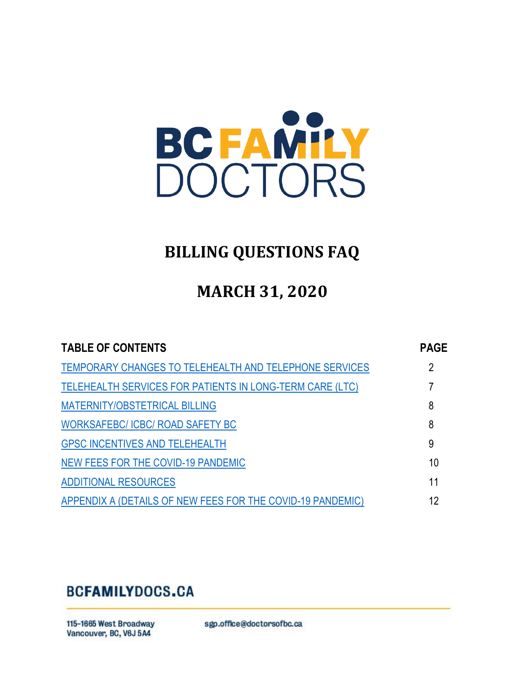

# **BILLING QUESTIONS FAQ**

# **MARCH 31, 2020**

<span id="page-0-0"></span>

| <b>TABLE OF CONTENTS</b>                                        | <b>PAGE</b> |
|-----------------------------------------------------------------|-------------|
| TEMPORARY CHANGES TO TELEHEALTH AND TELEPHONE SERVICES          | 2           |
| <b>TELEHEALTH SERVICES FOR PATIENTS IN LONG-TERM CARE (LTC)</b> | 7           |
| MATERNITY/OBSTETRICAL BILLING                                   | 8           |
| <b>WORKSAFEBC/ ICBC/ ROAD SAFETY BC</b>                         | 8           |
| <b>GPSC INCENTIVES AND TELEHEALTH</b>                           | 9           |
| NEW FEES FOR THE COVID-19 PANDEMIC                              | 10          |
| <b>ADDITIONAL RESOURCES</b>                                     | 11          |
| APPENDIX A (DETAILS OF NEW FEES FOR THE COVID-19 PANDEMIC)      | 12          |

# **BCFAMILYDOCS.CA**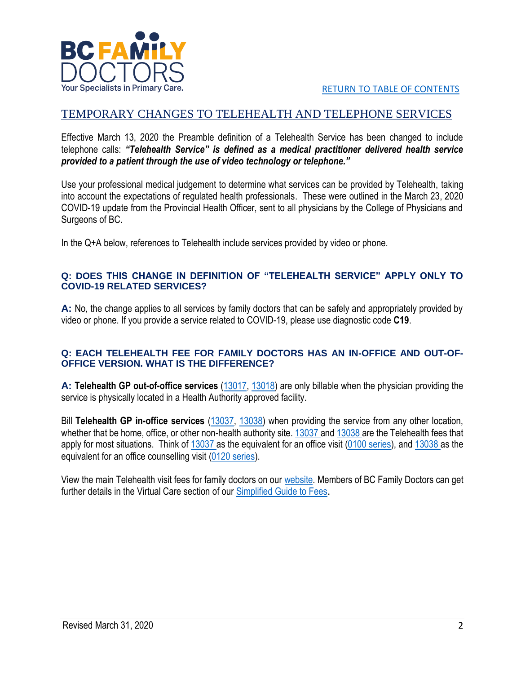

# <span id="page-1-0"></span>TEMPORARY CHANGES TO TELEHEALTH AND TELEPHONE SERVICES

Effective March 13, 2020 the Preamble definition of a Telehealth Service has been changed to include telephone calls: *"Telehealth Service" is defined as a medical practitioner delivered health service provided to a patient through the use of video technology or telephone."*

Use your professional medical judgement to determine what services can be provided by Telehealth, taking into account the expectations of regulated health professionals. These were outlined in the March 23, 2020 COVID-19 update from the Provincial Health Officer, sent to all physicians by the College of Physicians and Surgeons of BC.

In the Q+A below, references to Telehealth include services provided by video or phone.

#### **Q: DOES THIS CHANGE IN DEFINITION OF "TELEHEALTH SERVICE" APPLY ONLY TO COVID-19 RELATED SERVICES?**

**A:** No, the change applies to all services by family doctors that can be safely and appropriately provided by video or phone. If you provide a service related to COVID-19, please use diagnostic code **C19**.

#### **Q: EACH TELEHEALTH FEE FOR FAMILY DOCTORS HAS AN IN-OFFICE AND OUT-OF-OFFICE VERSION. WHAT IS THE DIFFERENCE?**

**A: Telehealth GP out-of-office services** [\(13017,](https://bcfamilydocs.ca/fee/telehealth-gp-out-of-office-visit/?highlight=13017) [13018\)](https://bcfamilydocs.ca/fee/telehealth-gp-out-of-office-individual-counselling/?highlight=13018) are only billable when the physician providing the service is physically located in a Health Authority approved facility.

Bill **Telehealth GP in-office services** [\(13037,](https://bcfamilydocs.ca/fee/telehealth-gp-in-office-visit/?highlight=13037) [13038\)](https://bcfamilydocs.ca/fee/telehealth-gp-in-office-individual-counselling-for-a-prolonged-visit-for-counselling/?highlight=13038) when providing the service from any other location, whether that be home, office, or other non-health authority site. [13037 a](https://bcfamilydocs.ca/fee/telehealth-gp-in-office-visit/?highlight=13037)n[d 13038 a](https://bcfamilydocs.ca/fee/telehealth-gp-in-office-individual-counselling-for-a-prolonged-visit-for-counselling/?highlight=13038)re the Telehealth fees that apply for most situations. Think of [13037 a](https://bcfamilydocs.ca/fee/telehealth-gp-in-office-visit/?highlight=13037)s the equivalent for an office visit [\(0100 series\)](https://bcfamilydocs.ca/fee/visit-in-office/?highlight=00100%200100), an[d 13038 a](https://bcfamilydocs.ca/fee/telehealth-gp-in-office-individual-counselling-for-a-prolonged-visit-for-counselling/?highlight=13038)s the equivalent for an office counselling visit [\(0120 series\)](https://bcfamilydocs.ca/fee/individual-counselling-in-office/?highlight=00120%200120).

View the main Telehealth visit fees for family doctors on our [website.](https://bcfamilydocs.ca/billing-for-virtual-care/) Members of BC Family Doctors can get further details in the Virtual Care section of our [Simplified Guide to Fees](https://bcfamilydocs.ca/fee-category/virtual-care/).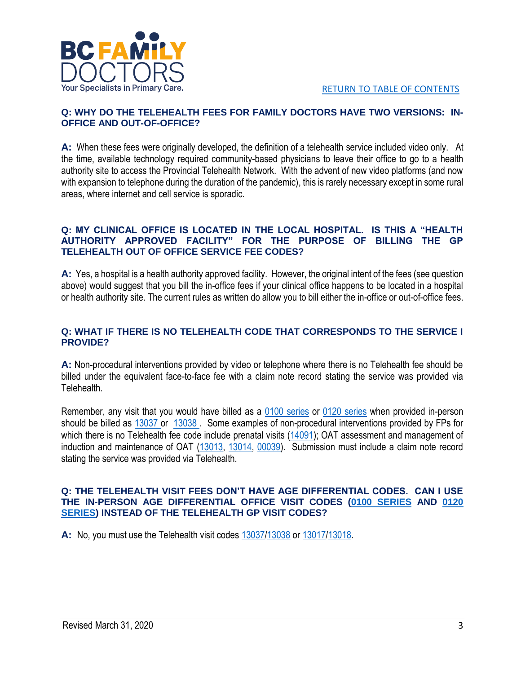

#### **Q: WHY DO THE TELEHEALTH FEES FOR FAMILY DOCTORS HAVE TWO VERSIONS: IN-OFFICE AND OUT-OF-OFFICE?**

**A:** When these fees were originally developed, the definition of a telehealth service included video only. At the time, available technology required community-based physicians to leave their office to go to a health authority site to access the Provincial Telehealth Network. With the advent of new video platforms (and now with expansion to telephone during the duration of the pandemic), this is rarely necessary except in some rural areas, where internet and cell service is sporadic.

#### **Q: MY CLINICAL OFFICE IS LOCATED IN THE LOCAL HOSPITAL. IS THIS A "HEALTH AUTHORITY APPROVED FACILITY" FOR THE PURPOSE OF BILLING THE GP TELEHEALTH OUT OF OFFICE SERVICE FEE CODES?**

**A:** Yes, a hospital is a health authority approved facility. However, the original intent of the fees (see question above) would suggest that you bill the in-office fees if your clinical office happens to be located in a hospital or health authority site. The current rules as written do allow you to bill either the in-office or out-of-office fees.

#### **Q: WHAT IF THERE IS NO TELEHEALTH CODE THAT CORRESPONDS TO THE SERVICE I PROVIDE?**

**A:** Non-procedural interventions provided by video or telephone where there is no Telehealth fee should be billed under the equivalent face-to-face fee with a claim note record stating the service was provided via Telehealth.

Remember, any visit that you would have billed as a [0100 series](https://bcfamilydocs.ca/fee/visit-in-office/?highlight=00100%200100) or [0120 series](https://bcfamilydocs.ca/fee/individual-counselling-in-office/?highlight=00120%200120) when provided in-person should be billed as [13037 o](https://bcfamilydocs.ca/fee/telehealth-gp-in-office-visit/?highlight=13037)r [13038 .](https://bcfamilydocs.ca/fee/telehealth-gp-in-office-individual-counselling-for-a-prolonged-visit-for-counselling/?highlight=13038) Some examples of non-procedural interventions provided by FPs for which there is no Telehealth fee code include prenatal visits [\(14091\)](https://bcfamilydocs.ca/fee/prenatal-visit-subsequent-examination/?highlight=14091); OAT assessment and management of induction and maintenance of OAT [\(13013,](https://bcfamilydocs.ca/fee/assessment-for-induction-of-opioid-agonist-treatment-oat-for-opioid-use-disorder/?highlight=13013) [13014,](https://bcfamilydocs.ca/fee/management-of-oat-induction-for-opioid-use-disorder/?highlight=13014) [00039\)](https://bcfamilydocs.ca/fee/methadone-or-buprenorphinenaloxone-treatment-only/?highlight=00039). Submission must include a claim note record stating the service was provided via Telehealth.

#### **Q: THE TELEHEALTH VISIT FEES DON'T HAVE AGE DIFFERENTIAL CODES. CAN I USE THE IN-PERSON AGE DIFFERENTIAL OFFICE VISIT CODES (0100 [SERIES](https://bcfamilydocs.ca/fee/visit-in-office/?highlight=00100%200100) AND [0120](https://bcfamilydocs.ca/fee/individual-counselling-in-office/?highlight=00120%200120)  [SERIES\)](https://bcfamilydocs.ca/fee/individual-counselling-in-office/?highlight=00120%200120) INSTEAD OF THE TELEHEALTH GP VISIT CODES?**

**A:** No, you must use the Telehealth visit codes [13037/](https://bcfamilydocs.ca/fee/telehealth-gp-in-office-visit/?highlight=13037)[13038](https://bcfamilydocs.ca/fee/telehealth-gp-in-office-individual-counselling-for-a-prolonged-visit-for-counselling/?highlight=13038) or [13017](https://bcfamilydocs.ca/fee/telehealth-gp-out-of-office-visit/?highlight=13017)[/13018.](https://bcfamilydocs.ca/fee/telehealth-gp-out-of-office-individual-counselling/?highlight=13018)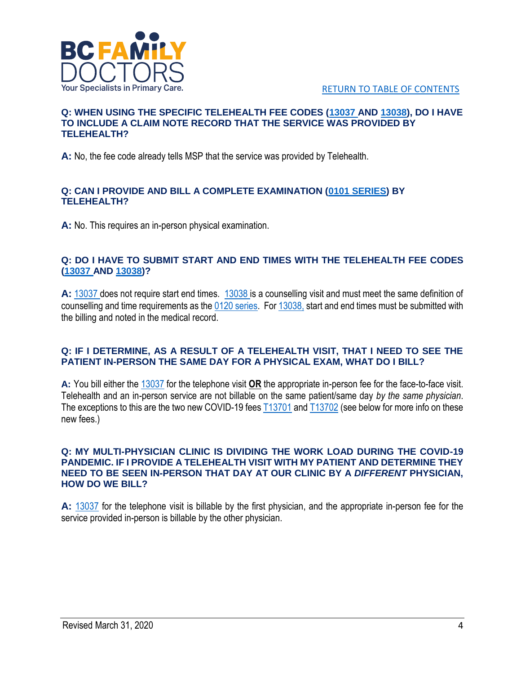

#### **Q: WHEN USING THE SPECIFIC TELEHEALTH FEE CODES [\(13037 A](https://bcfamilydocs.ca/fee/telehealth-gp-in-office-visit/?highlight=13037)ND [13038\)](https://bcfamilydocs.ca/fee/telehealth-gp-in-office-individual-counselling-for-a-prolonged-visit-for-counselling/?highlight=13038), DO I HAVE TO INCLUDE A CLAIM NOTE RECORD THAT THE SERVICE WAS PROVIDED BY TELEHEALTH?**

**A:** No, the fee code already tells MSP that the service was provided by Telehealth.

#### **Q: CAN I PROVIDE AND BILL A COMPLETE EXAMINATION [\(0101 SERIES\)](https://bcfamilydocs.ca/fee/complete-examination-in-office/?highlight=00101%200101) BY TELEHEALTH?**

**A:** No. This requires an in-person physical examination.

#### **Q: DO I HAVE TO SUBMIT START AND END TIMES WITH THE TELEHEALTH FEE CODES [\(13037 A](https://bcfamilydocs.ca/fee/telehealth-gp-in-office-visit/?highlight=13037)ND [13038\)](https://bcfamilydocs.ca/fee/telehealth-gp-in-office-individual-counselling-for-a-prolonged-visit-for-counselling/?highlight=13038)?**

**A:** [13037](https://bcfamilydocs.ca/fee/telehealth-gp-in-office-visit/?highlight=13037) does not require start end times. [13038](https://bcfamilydocs.ca/fee/telehealth-gp-in-office-individual-counselling-for-a-prolonged-visit-for-counselling/?highlight=13038) is a counselling visit and must meet the same definition of counselling and time requirements as the [0120 series.](https://bcfamilydocs.ca/fee/individual-counselling-in-office/?highlight=00120%200120) Fo[r 13038,](https://bcfamilydocs.ca/fee/telehealth-gp-in-office-individual-counselling-for-a-prolonged-visit-for-counselling/?highlight=13038) start and end times must be submitted with the billing and noted in the medical record.

#### **Q: IF I DETERMINE, AS A RESULT OF A TELEHEALTH VISIT, THAT I NEED TO SEE THE PATIENT IN-PERSON THE SAME DAY FOR A PHYSICAL EXAM, WHAT DO I BILL?**

**A:** You bill either the [13037](https://bcfamilydocs.ca/fee/telehealth-gp-in-office-visit/?highlight=13037) for the telephone visit **OR** the appropriate in-person fee for the face-to-face visit. Telehealth and an in-person service are not billable on the same patient/same day *by the same physician*. The exceptions to this are the two new COVID-19 fee[s T13701](https://bcfamilydocs.ca/fee/new-office-visit-for-covid-19-with-test/?highlight=13701) and [T13702](https://bcfamilydocs.ca/fee/office-visit-for-covid-19-without-test/?highlight=13702) (see below for more info on these new fees.)

#### **Q: MY MULTI-PHYSICIAN CLINIC IS DIVIDING THE WORK LOAD DURING THE COVID-19 PANDEMIC. IF I PROVIDE A TELEHEALTH VISIT WITH MY PATIENT AND DETERMINE THEY NEED TO BE SEEN IN-PERSON THAT DAY AT OUR CLINIC BY A** *DIFFERENT* **PHYSICIAN, HOW DO WE BILL?**

**A:** [13037](https://bcfamilydocs.ca/fee/telehealth-gp-in-office-visit/?highlight=13037) for the telephone visit is billable by the first physician, and the appropriate in-person fee for the service provided in-person is billable by the other physician.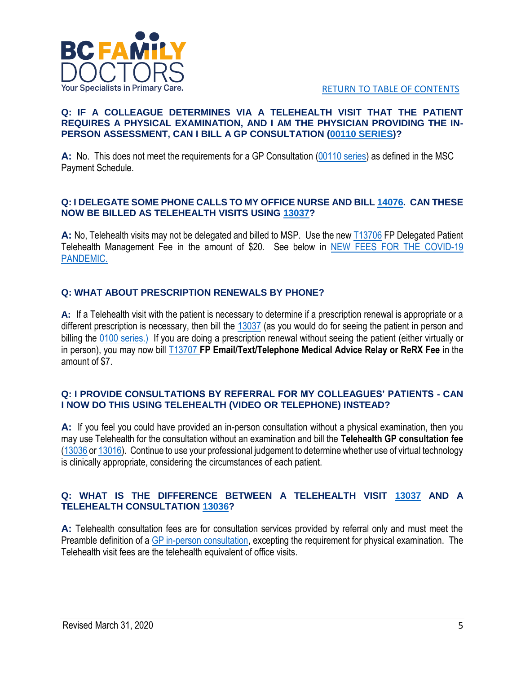

#### **Q: IF A COLLEAGUE DETERMINES VIA A TELEHEALTH VISIT THAT THE PATIENT REQUIRES A PHYSICAL EXAMINATION, AND I AM THE PHYSICIAN PROVIDING THE IN-PERSON ASSESSMENT, CAN I BILL A GP CONSULTATION [\(00110 SERIES\)](https://bcfamilydocs.ca/fee/gp-consultation-in-office/?highlight=00110%200110)?**

**A:** No. This does not meet the requirements for a GP Consultation [\(00110 series\)](https://bcfamilydocs.ca/fee/gp-consultation-in-office/?highlight=00110%200110) as defined in the MSC Payment Schedule.

#### **Q: I DELEGATE SOME PHONE CALLS TO MY OFFICE NURSE AND BILL [14076.](https://bcfamilydocs.ca/fee/gp-patient-telephone-management-fee/?highlight=14076) CAN THESE NOW BE BILLED AS TELEHEALTH VISITS USING [13037?](https://bcfamilydocs.ca/fee/telehealth-gp-in-office-visit/?highlight=13037)**

**A:** No, Telehealth visits may not be delegated and billed to MSP. Use the ne[w T13706](https://bcfamilydocs.ca/fee/25701/?highlight=13706) FP Delegated Patient Telehealth Management Fee in the amount of \$20. See below in [NEW FEES FOR THE COVID-19](#page-9-0)  [PANDEMIC.](#page-9-0)

# **Q: WHAT ABOUT PRESCRIPTION RENEWALS BY PHONE?**

**A:** If a Telehealth visit with the patient is necessary to determine if a prescription renewal is appropriate or a different prescription is necessary, then bill the [13037](https://bcfamilydocs.ca/fee/telehealth-gp-in-office-visit/?highlight=13037) (as you would do for seeing the patient in person and billing the [0100 series.](https://bcfamilydocs.ca/fee/visit-in-office/?highlight=00100%200100)) If you are doing a prescription renewal without seeing the patient (either virtually or in person), you may now bill [T13707](https://bcfamilydocs.ca/fee/fp-email-text-telephone-medical-advice-relay-or-rerx-fee/?highlight=13707) **FP Email/Text/Telephone Medical Advice Relay or ReRX Fee** in the amount of \$7.

#### **Q: I PROVIDE CONSULTATIONS BY REFERRAL FOR MY COLLEAGUES' PATIENTS - CAN I NOW DO THIS USING TELEHEALTH (VIDEO OR TELEPHONE) INSTEAD?**

**A:** If you feel you could have provided an in-person consultation without a physical examination, then you may use Telehealth for the consultation without an examination and bill the **Telehealth GP consultation fee** [\(13036](https://bcfamilydocs.ca/fee/telehealth-gp-in-office-consultation/?highlight=13036) o[r 13016\)](https://bcfamilydocs.ca/fee/out-of-office-telehealth-fees/?highlight=13016). Continue to use your professional judgement to determine whether use of virtual technology is clinically appropriate, considering the circumstances of each patient.

#### **Q: WHAT IS THE DIFFERENCE BETWEEN A TELEHEALTH VISIT [13037](https://bcfamilydocs.ca/fee/telehealth-gp-in-office-visit/?highlight=13037) AND A TELEHEALTH CONSULTATION [13036?](https://bcfamilydocs.ca/fee/telehealth-gp-in-office-consultation/?highlight=13036)**

**A:** Telehealth consultation fees are for consultation services provided by referral only and must meet the Preamble definition of a [GP in-person consultation,](https://bcfamilydocs.ca/fee/gp-consultation-in-office/) excepting the requirement for physical examination. The Telehealth visit fees are the telehealth equivalent of office visits.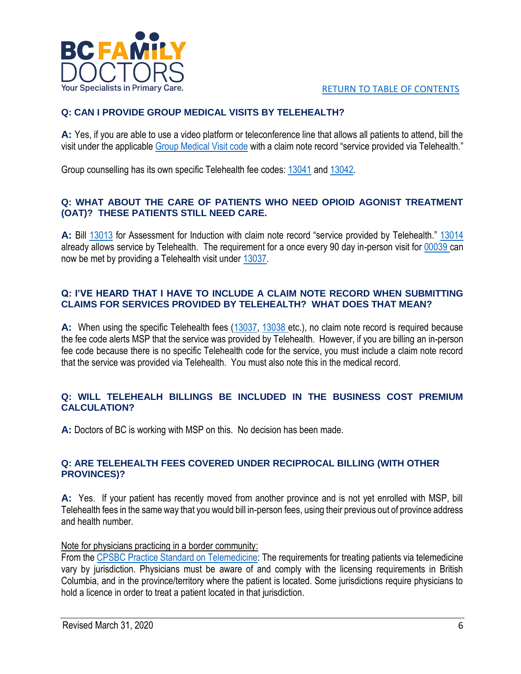

# **Q: CAN I PROVIDE GROUP MEDICAL VISITS BY TELEHEALTH?**

**A:** Yes, if you are able to use a video platform or teleconference line that allows all patients to attend, bill the visit under the applicable [Group Medical Visit code](https://bcfamilydocs.ca/fee/general-practice-group-medical-visit/?highlight=GROUP%20MEDICAL%20VISIT) with a claim note record "service provided via Telehealth."

Group counselling has its own specific Telehealth fee codes: [13041](https://bcfamilydocs.ca/fee/telehealth-gp-in-office-group-counselling-for-groups-of-two-or-more-patients/?highlight=13041) and [13042.](https://bcfamilydocs.ca/fee/telehealth-gp-in-office-group-counselling-for-groups-of-two-or-more-patients/?highlight=13041)

## **Q: WHAT ABOUT THE CARE OF PATIENTS WHO NEED OPIOID AGONIST TREATMENT (OAT)? THESE PATIENTS STILL NEED CARE.**

**A:** Bill [13013](https://bcfamilydocs.ca/fee/assessment-for-induction-of-opioid-agonist-treatment-oat-for-opioid-use-disorder/?highlight=13013) for Assessment for Induction with claim note record "service provided by Telehealth." [13014](https://bcfamilydocs.ca/fee/management-of-oat-induction-for-opioid-use-disorder/?highlight=13014) already allows service by Telehealth. The requirement for a once every 90 day in-person visit for [00039 c](https://bcfamilydocs.ca/fee/methadone-or-buprenorphinenaloxone-treatment-only/?highlight=00039)an now be met by providing a Telehealth visit under [13037.](https://bcfamilydocs.ca/fee/telehealth-gp-in-office-visit/?highlight=13037)

#### **Q: I'VE HEARD THAT I HAVE TO INCLUDE A CLAIM NOTE RECORD WHEN SUBMITTING CLAIMS FOR SERVICES PROVIDED BY TELEHEALTH? WHAT DOES THAT MEAN?**

**A:** When using the specific Telehealth fees [\(13037,](https://bcfamilydocs.ca/fee/telehealth-gp-in-office-visit/?highlight=13037) [13038 e](https://bcfamilydocs.ca/fee/telehealth-gp-in-office-individual-counselling-for-a-prolonged-visit-for-counselling/?highlight=13038)tc.), no claim note record is required because the fee code alerts MSP that the service was provided by Telehealth. However, if you are billing an in-person fee code because there is no specific Telehealth code for the service, you must include a claim note record that the service was provided via Telehealth. You must also note this in the medical record.

#### **Q: WILL TELEHEALH BILLINGS BE INCLUDED IN THE BUSINESS COST PREMIUM CALCULATION?**

**A:** Doctors of BC is working with MSP on this. No decision has been made.

#### **Q: ARE TELEHEALTH FEES COVERED UNDER RECIPROCAL BILLING (WITH OTHER PROVINCES)?**

**A:** Yes. If your patient has recently moved from another province and is not yet enrolled with MSP, bill Telehealth fees in the same way that you would bill in-person fees, using their previous out of province address and health number.

Note for physicians practicing in a border community:

From the [CPSBC Practice Standard on Telemedicine:](https://cpsbc.ca/files/pdf/PSG-Telemedicine.pdf) The requirements for treating patients via telemedicine vary by jurisdiction. Physicians must be aware of and comply with the licensing requirements in British Columbia, and in the province/territory where the patient is located. Some jurisdictions require physicians to hold a licence in order to treat a patient located in that jurisdiction.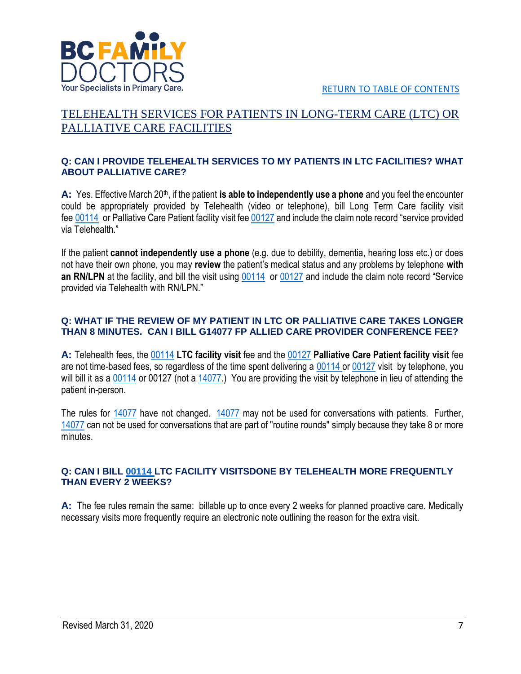

[RETURN TO TABLE OF CONTENTS](#page-0-0)

# <span id="page-6-0"></span>TELEHEALTH SERVICES FOR PATIENTS IN LONG-TERM CARE (LTC) OR PALLIATIVE CARE FACILITIES

#### **Q: CAN I PROVIDE TELEHEALTH SERVICES TO MY PATIENTS IN LTC FACILITIES? WHAT ABOUT PALLIATIVE CARE?**

A: Yes. Effective March 20<sup>th</sup>, if the patient is able to independently use a phone and you feel the encounter could be appropriately provided by Telehealth (video or telephone), bill Long Term Care facility visit fee [00114](https://bcfamilydocs.ca/fee/long-term-care-facility-visit-one-or-multiple-patients-per-patient/?highlight=00114) or Palliative Care Patient facility visit fee [00127](https://bcfamilydocs.ca/fee/terminal-care-facility-visit/?highlight=00127) and include the claim note record "service provided via Telehealth."

If the patient **cannot independently use a phone** (e.g. due to debility, dementia, hearing loss etc.) or does not have their own phone, you may **review** the patient's medical status and any problems by telephone **with an RN/LPN** at the facility, and bill the visit using [00114](https://bcfamilydocs.ca/fee/long-term-care-facility-visit-one-or-multiple-patients-per-patient/?highlight=00114) or [00127](https://bcfamilydocs.ca/fee/terminal-care-facility-visit/?highlight=00127) and include the claim note record "Service provided via Telehealth with RN/LPN."

#### **Q: WHAT IF THE REVIEW OF MY PATIENT IN LTC OR PALLIATIVE CARE TAKES LONGER THAN 8 MINUTES. CAN I BILL G14077 FP ALLIED CARE PROVIDER CONFERENCE FEE?**

**A:** Telehealth fees, the [00114](https://bcfamilydocs.ca/fee/long-term-care-facility-visit-one-or-multiple-patients-per-patient/?highlight=00114) **LTC facility visit** fee and the [00127](https://bcfamilydocs.ca/fee/terminal-care-facility-visit/?highlight=00127) **Palliative Care Patient facility visit** fee are not time-based fees, so regardless of the time spent delivering a [00114](https://bcfamilydocs.ca/fee/long-term-care-facility-visit-one-or-multiple-patients-per-patient/?highlight=00114) or [00127](https://bcfamilydocs.ca/fee/terminal-care-facility-visit/?highlight=00127) visit by telephone, you will bill it as a [00114](https://bcfamilydocs.ca/fee/long-term-care-facility-visit-one-or-multiple-patients-per-patient/?highlight=00114) or 00127 (not a [14077.](https://bcfamilydocs.ca/fee/gp-allied-care-provider-conference-fee-per-15-minutes-greater-portion/?highlight=14077)) You are providing the visit by telephone in lieu of attending the patient in-person.

The rules for [14077](https://bcfamilydocs.ca/fee/gp-allied-care-provider-conference-fee-per-15-minutes-greater-portion/?highlight=14077) have not changed. [14077](https://bcfamilydocs.ca/fee/gp-allied-care-provider-conference-fee-per-15-minutes-greater-portion/?highlight=14077) may not be used for conversations with patients. Further, [14077](https://bcfamilydocs.ca/fee/gp-allied-care-provider-conference-fee-per-15-minutes-greater-portion/?highlight=14077) can not be used for conversations that are part of "routine rounds" simply because they take 8 or more minutes.

#### **Q: CAN I BILL [00114 L](https://bcfamilydocs.ca/fee/long-term-care-facility-visit-one-or-multiple-patients-per-patient/?highlight=00114)TC FACILITY VISITSDONE BY TELEHEALTH MORE FREQUENTLY THAN EVERY 2 WEEKS?**

**A:** The fee rules remain the same: billable up to once every 2 weeks for planned proactive care. Medically necessary visits more frequently require an electronic note outlining the reason for the extra visit.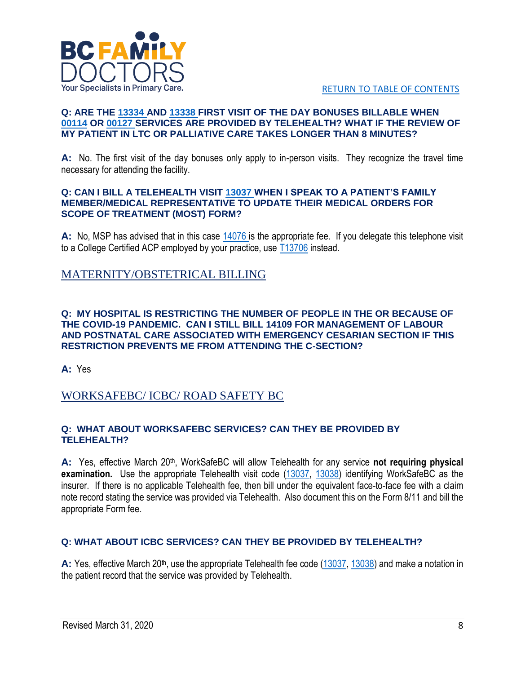

[RETURN TO TABLE OF CONTENTS](#page-0-0)

#### **Q: ARE THE [13334 A](https://bcfamilydocs.ca/fee/community-based-gp-long-term-care-facility-visit-first-visit-of-the-day-bonus-extra/?highlight=13334)ND [13338 F](https://bcfamilydocs.ca/fee/community-based-gp-first-facility-visit-of-the-day-bonus-extra-active-hospital-privileges-for-routine-supportive-or-terminal-care/?highlight=13338)IRST VISIT OF THE DAY BONUSES BILLABLE WHEN [00114](https://bcfamilydocs.ca/fee/long-term-care-facility-visit-one-or-multiple-patients-per-patient/?highlight=00114) OR [00127 S](https://bcfamilydocs.ca/fee/terminal-care-facility-visit/?highlight=00127)ERVICES ARE PROVIDED BY TELEHEALTH? WHAT IF THE REVIEW OF MY PATIENT IN LTC OR PALLIATIVE CARE TAKES LONGER THAN 8 MINUTES?**

**A:** No. The first visit of the day bonuses only apply to in-person visits. They recognize the travel time necessary for attending the facility.

#### **Q: CAN I BILL A TELEHEALTH VISIT [13037 W](https://bcfamilydocs.ca/fee/telehealth-gp-in-office-visit/?highlight=13037)HEN I SPEAK TO A PATIENT'S FAMILY MEMBER/MEDICAL REPRESENTATIVE TO UPDATE THEIR MEDICAL ORDERS FOR SCOPE OF TREATMENT (MOST) FORM?**

**A:** No, MSP has advised that in this case [14076 is](https://bcfamilydocs.ca/fee/gp-patient-telephone-management-fee/?highlight=14076) the appropriate fee. If you delegate this telephone visit to a College Certified ACP employed by your practice, use  $\underline{113706}$  instead.

# <span id="page-7-1"></span><span id="page-7-0"></span>MATERNITY/OBSTETRICAL BILLING

#### **Q: MY HOSPITAL IS RESTRICTING THE NUMBER OF PEOPLE IN THE OR BECAUSE OF THE COVID-19 PANDEMIC. CAN I STILL BILL 14109 FOR MANAGEMENT OF LABOUR AND POSTNATAL CARE ASSOCIATED WITH EMERGENCY CESARIAN SECTION IF THIS RESTRICTION PREVENTS ME FROM ATTENDING THE C-SECTION?**

**A:** Yes

# WORKSAFEBC/ ICBC/ ROAD SAFETY BC

#### **Q: WHAT ABOUT WORKSAFEBC SERVICES? CAN THEY BE PROVIDED BY TELEHEALTH?**

A: Yes, effective March 20<sup>th</sup>, WorkSafeBC will allow Telehealth for any service **not requiring physical examination.** Use the appropriate Telehealth visit code [\(13037,](https://bcfamilydocs.ca/fee/telehealth-gp-in-office-visit/?highlight=13037) [13038\)](https://bcfamilydocs.ca/fee/telehealth-gp-in-office-individual-counselling-for-a-prolonged-visit-for-counselling/?highlight=13038) identifying WorkSafeBC as the insurer. If there is no applicable Telehealth fee, then bill under the equivalent face-to-face fee with a claim note record stating the service was provided via Telehealth. Also document this on the Form 8/11 and bill the appropriate Form fee.

## **Q: WHAT ABOUT ICBC SERVICES? CAN THEY BE PROVIDED BY TELEHEALTH?**

A: Yes, effective March 20<sup>th</sup>, use the appropriate Telehealth fee code [\(13037,](https://bcfamilydocs.ca/fee/telehealth-gp-in-office-visit/?highlight=13037) [13038\)](https://bcfamilydocs.ca/fee/telehealth-gp-in-office-individual-counselling-for-a-prolonged-visit-for-counselling/?highlight=13038) and make a notation in the patient record that the service was provided by Telehealth.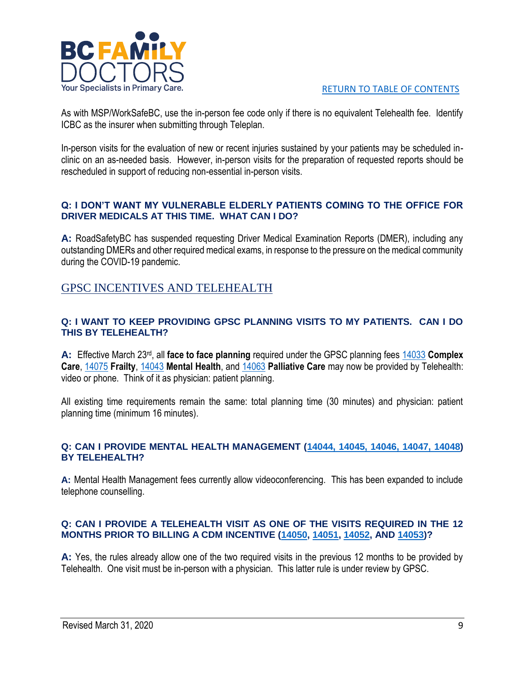

As with MSP/WorkSafeBC, use the in-person fee code only if there is no equivalent Telehealth fee. Identify ICBC as the insurer when submitting through Teleplan.

In-person visits for the evaluation of new or recent injuries sustained by your patients may be scheduled inclinic on an as-needed basis. However, in-person visits for the preparation of requested reports should be rescheduled in support of reducing non-essential in-person visits.

#### **Q: I DON'T WANT MY VULNERABLE ELDERLY PATIENTS COMING TO THE OFFICE FOR DRIVER MEDICALS AT THIS TIME. WHAT CAN I DO?**

**A:** RoadSafetyBC has suspended requesting Driver Medical Examination Reports (DMER), including any outstanding DMERs and other required medical exams, in response to the pressure on the medical community during the COVID-19 pandemic.

# <span id="page-8-0"></span>GPSC INCENTIVES AND TELEHEALTH

#### **Q: I WANT TO KEEP PROVIDING GPSC PLANNING VISITS TO MY PATIENTS. CAN I DO THIS BY TELEHEALTH?**

**A:** Effective March 23rd, all **face to face planning** required under the GPSC planning fees [14033](https://bcfamilydocs.ca/fee/gp-complex-care-planning-management-fee-2-diagnoses/?highlight=14033) **Complex Care**, [14075](https://bcfamilydocs.ca/fee/gp-frailty-complex-care-planning-management-fee/?highlight=14075) **Frailty**, [14043](https://bcfamilydocs.ca/fee/mental-health-planning-fee/?highlight=14043) **Mental Health**, and [14063](https://bcfamilydocs.ca/fee/palliative-care-planning-fee/?highlight=14063) **Palliative Care** may now be provided by Telehealth: video or phone. Think of it as physician: patient planning.

All existing time requirements remain the same: total planning time (30 minutes) and physician: patient planning time (minimum 16 minutes).

#### **Q: CAN I PROVIDE MENTAL HEALTH MANAGEMENT [\(14044, 14045, 14046, 14047, 14048\)](https://bcfamilydocs.ca/fee/gp-mental-health-management/?highlight=14044) BY TELEHEALTH?**

**A:** Mental Health Management fees currently allow videoconferencing. This has been expanded to include telephone counselling.

#### **Q: CAN I PROVIDE A TELEHEALTH VISIT AS ONE OF THE VISITS REQUIRED IN THE 12 MONTHS PRIOR TO BILLING A CDM INCENTIVE [\(14050,](https://bcfamilydocs.ca/fee/diabetes-chronic-care-incentive-copy/?highlight=14050) [14051,](https://bcfamilydocs.ca/fee/heart-failure-chronic-care-incentive-copy/?highlight=14051) [14052,](https://bcfamilydocs.ca/fee/hypertension-chronic-care-incentive-copy/?highlight=14052) AND [14053\)](https://bcfamilydocs.ca/fee/chronic-obstructive-pulmonary-disease-copd-chronic-care-incentive-copy/?highlight=14053)?**

**A:** Yes, the rules already allow one of the two required visits in the previous 12 months to be provided by Telehealth. One visit must be in-person with a physician. This latter rule is under review by GPSC.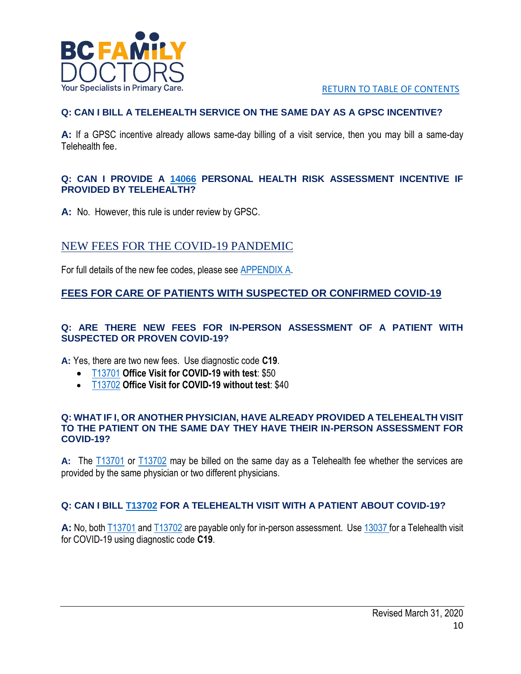

# **Q: CAN I BILL A TELEHEALTH SERVICE ON THE SAME DAY AS A GPSC INCENTIVE?**

**A:** If a GPSC incentive already allows same-day billing of a visit service, then you may bill a same-day Telehealth fee.

#### **Q: CAN I PROVIDE A [14066](https://bcfamilydocs.ca/fee/personal-health-risk-assessment/?highlight=14066) PERSONAL HEALTH RISK ASSESSMENT INCENTIVE IF PROVIDED BY TELEHEALTH?**

**A:** No. However, this rule is under review by GPSC.

# <span id="page-9-0"></span>NEW FEES FOR THE COVID-19 PANDEMIC

For full details of the new fee codes, please see [APPENDIX](#page-12-0) A.

# **FEES FOR CARE OF PATIENTS WITH SUSPECTED OR CONFIRMED COVID-19**

#### **Q: ARE THERE NEW FEES FOR IN-PERSON ASSESSMENT OF A PATIENT WITH SUSPECTED OR PROVEN COVID-19?**

**A:** Yes, there are two new fees. Use diagnostic code **C19**.

- [T13701](https://bcfamilydocs.ca/fee/new-office-visit-for-covid-19-with-test/?highlight=13701) **Office Visit for COVID-19 with test**: \$50
- [T13702](https://bcfamilydocs.ca/fee/office-visit-for-covid-19-without-test/?highlight=13702) **Office Visit for COVID-19 without test**: \$40

#### **Q: WHAT IF I, OR ANOTHER PHYSICIAN, HAVE ALREADY PROVIDED A TELEHEALTH VISIT TO THE PATIENT ON THE SAME DAY THEY HAVE THEIR IN-PERSON ASSESSMENT FOR COVID-19?**

**A:** The [T13701](https://bcfamilydocs.ca/fee/new-office-visit-for-covid-19-with-test/?highlight=13701) or [T13702](https://bcfamilydocs.ca/fee/office-visit-for-covid-19-without-test/?highlight=13702) may be billed on the same day as a Telehealth fee whether the services are provided by the same physician or two different physicians.

## **Q: CAN I BILL [T13702](https://bcfamilydocs.ca/fee/office-visit-for-covid-19-without-test/?highlight=13702) FOR A TELEHEALTH VISIT WITH A PATIENT ABOUT COVID-19?**

**A:** No, both [T13701](https://bcfamilydocs.ca/fee/new-office-visit-for-covid-19-with-test/?highlight=13701) and [T13702](https://bcfamilydocs.ca/fee/office-visit-for-covid-19-without-test/?highlight=13702) are payable only for in-person assessment. Us[e 13037 f](https://bcfamilydocs.ca/fee/telehealth-gp-in-office-visit/?highlight=13037)or a Telehealth visit for COVID-19 using diagnostic code **C19**.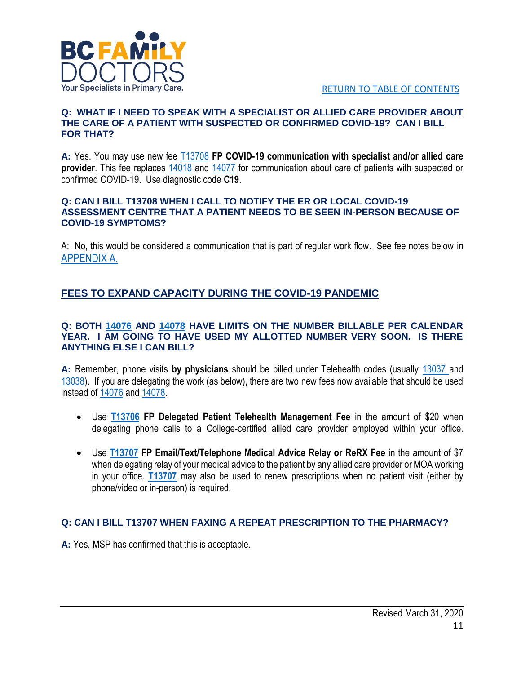

#### **Q: WHAT IF I NEED TO SPEAK WITH A SPECIALIST OR ALLIED CARE PROVIDER ABOUT THE CARE OF A PATIENT WITH SUSPECTED OR CONFIRMED COVID-19? CAN I BILL FOR THAT?**

**A:** Yes. You may use new fee [T13708](https://bcfamilydocs.ca/fee/fp-covid-19-communication-with-specialist-and-or-allied-care-provider/?highlight=13708) **FP COVID-19 communication with specialist and/or allied care provider**. This fee replaces [14018](https://bcfamilydocs.ca/fee/general-practice-urgent-telephone-conference-with-a-specialist-fee-2/?highlight=14018) and [14077](https://bcfamilydocs.ca/fee/gp-allied-care-provider-conference-fee-per-15-minutes-greater-portion/?highlight=14077) for communication about care of patients with suspected or confirmed COVID-19. Use diagnostic code **C19**.

#### **Q: CAN I BILL T13708 WHEN I CALL TO NOTIFY THE ER OR LOCAL COVID-19 ASSESSMENT CENTRE THAT A PATIENT NEEDS TO BE SEEN IN-PERSON BECAUSE OF COVID-19 SYMPTOMS?**

A: No, this would be considered a communication that is part of regular work flow. See fee notes below in [APPENDIX A.](#page-12-0)

# **FEES TO EXPAND CAPACITY DURING THE COVID-19 PANDEMIC**

#### **Q: BOTH [14076](https://bcfamilydocs.ca/fee/gp-patient-telephone-management-fee/?highlight=14076) AND [14078](https://bcfamilydocs.ca/fee/gp-emailtexttelephone-medical-advice-relay-fee/?highlight=14078) HAVE LIMITS ON THE NUMBER BILLABLE PER CALENDAR YEAR. I AM GOING TO HAVE USED MY ALLOTTED NUMBER VERY SOON. IS THERE ANYTHING ELSE I CAN BILL?**

**A:** Remember, phone visits **by physicians** should be billed under Telehealth codes (usually [13037 a](https://bcfamilydocs.ca/fee/telehealth-gp-in-office-visit/?highlight=13037)nd [13038\)](https://bcfamilydocs.ca/fee/telehealth-gp-in-office-individual-counselling-for-a-prolonged-visit-for-counselling/?highlight=13038). If you are delegating the work (as below), there are two new fees now available that should be used instead of [14076](https://bcfamilydocs.ca/fee/gp-patient-telephone-management-fee/?highlight=14076) an[d 14078.](https://bcfamilydocs.ca/fee/gp-emailtexttelephone-medical-advice-relay-fee/?highlight=14078)

- Use **[T13706](https://bcfamilydocs.ca/fee/25701/?highlight=13706) FP Delegated Patient Telehealth Management Fee** in the amount of \$20 when delegating phone calls to a College-certified allied care provider employed within your office.
- Use **[T13707](https://bcfamilydocs.ca/fee/fp-email-text-telephone-medical-advice-relay-or-rerx-fee/?highlight=13707) FP Email/Text/Telephone Medical Advice Relay or ReRX Fee** in the amount of \$7 when delegating relay of your medical advice to the patient by any allied care provider or MOA working in your office. **[T13707](https://bcfamilydocs.ca/fee/fp-email-text-telephone-medical-advice-relay-or-rerx-fee/?highlight=13707)** may also be used to renew prescriptions when no patient visit (either by phone/video or in-person) is required.

# **Q: CAN I BILL T13707 WHEN FAXING A REPEAT PRESCRIPTION TO THE PHARMACY?**

**A:** Yes, MSP has confirmed that this is acceptable.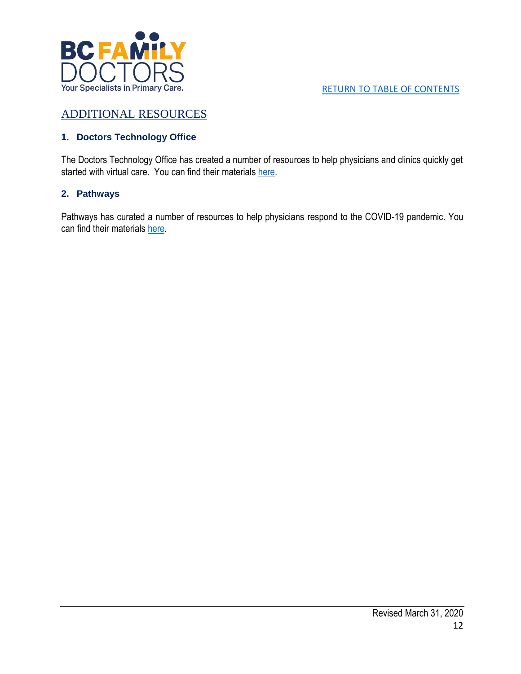

# <span id="page-11-0"></span>ADDITIONAL RESOURCES

# **1. Doctors Technology Office**

The Doctors Technology Office has created a number of resources to help physicians and clinics quickly get started with virtual care. You can find their materials [here.](https://www.doctorsofbc.ca/resource-centre/physicians/doctors-technology-office-dto/health-technology-resources#tab-0-2)

# **2. Pathways**

Pathways has curated a number of resources to help physicians respond to the COVID-19 pandemic. You can find their materials [here.](https://pathwaysbc.ca/login)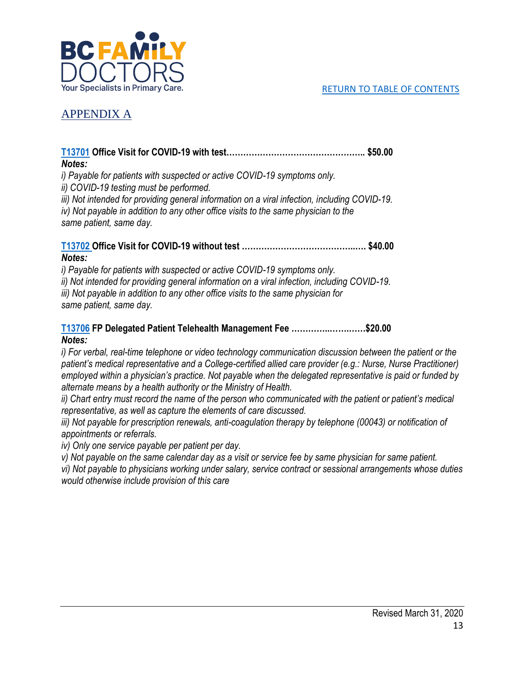

# <span id="page-12-0"></span>APPENDIX A

## **[T13701](https://bcfamilydocs.ca/fee/new-office-visit-for-covid-19-with-test/?highlight=13701) Office Visit for COVID-19 with test………………………………………….. \$50.00** *Notes:*

*i) Payable for patients with suspected or active COVID-19 symptoms only. ii) COVID-19 testing must be performed. iii) Not intended for providing general information on a viral infection, including COVID-19.*

*iv) Not payable in addition to any other office visits to the same physician to the same patient, same day.*

## **[T13702](https://bcfamilydocs.ca/fee/office-visit-for-covid-19-without-test/?highlight=13702) Office Visit for COVID-19 without test …………………………………..…. \$40.00** *Notes:*

*i) Payable for patients with suspected or active COVID-19 symptoms only. ii) Not intended for providing general information on a viral infection, including COVID-19. iii) Not payable in addition to any other office visits to the same physician for same patient, same day.*

# **[T13706](https://bcfamilydocs.ca/fee/25701/?highlight=13706) FP Delegated Patient Telehealth Management Fee …………..…….……\$20.00** *Notes:*

*i) For verbal, real-time telephone or video technology communication discussion between the patient or the patient's medical representative and a College-certified allied care provider (e.g.: Nurse, Nurse Practitioner) employed within a physician's practice. Not payable when the delegated representative is paid or funded by alternate means by a health authority or the Ministry of Health.* 

*ii*) Chart entry must record the name of the person who communicated with the patient or patient's medical *representative, as well as capture the elements of care discussed.*

*iii)* Not payable for prescription renewals, anti-coagulation therapy by telephone (00043) or notification of *appointments or referrals.*

*iv) Only one service payable per patient per day.*

*v) Not payable on the same calendar day as a visit or service fee by same physician for same patient.*

*vi) Not payable to physicians working under salary, service contract or sessional arrangements whose duties would otherwise include provision of this care*